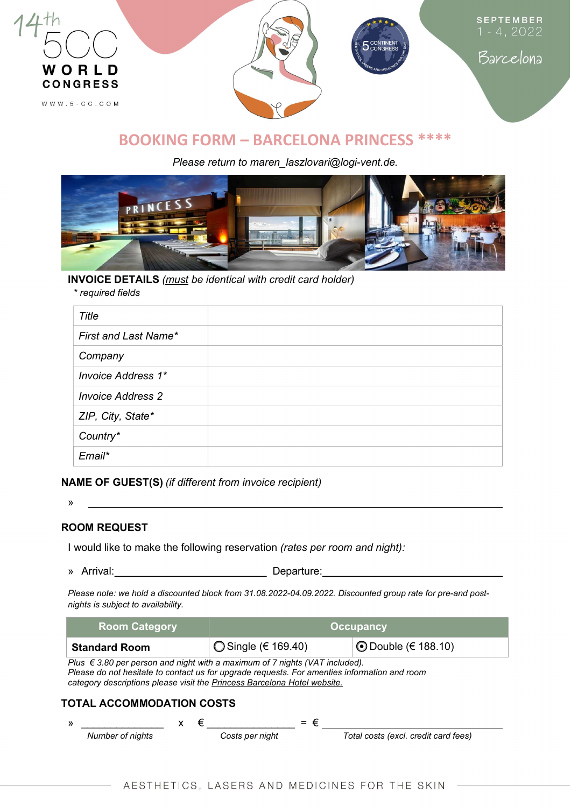

# BOOKING FORM – BARCELONA PRINCESS \*\*\*\*

Please return to maren laszlovari@logi-vent.de.



# INVOICE DETAILS (must be identical with credit card holder)

\* required fields

| Title                     |  |
|---------------------------|--|
| First and Last Name*      |  |
| Company                   |  |
| <b>Invoice Address 1*</b> |  |
| <b>Invoice Address 2</b>  |  |
| ZIP, City, State*         |  |
| Country*                  |  |
| Email*                    |  |

NAME OF GUEST(S) (if different from invoice recipient)

»

# ROOM REQUEST

I would like to make the following reservation (rates per room and night):

» Arrival: Departure:

Please note: we hold a discounted block from 31.08.2022-04.09.2022. Discounted group rate for pre-and postnights is subject to availability.

| <b>Room Category</b>                                                                                                                                                                                                                                             |   | <b>Occupancy</b>       |                            |  |  |
|------------------------------------------------------------------------------------------------------------------------------------------------------------------------------------------------------------------------------------------------------------------|---|------------------------|----------------------------|--|--|
| <b>Standard Room</b>                                                                                                                                                                                                                                             |   | ◯ Single ( $€$ 169.40) | <b>①</b> Double (€ 188.10) |  |  |
| Plus $\epsilon$ 3.80 per person and night with a maximum of 7 nights (VAT included).<br>Please do not hesitate to contact us for upgrade requests. For amenties information and room<br>category descriptions please visit the Princess Barcelona Hotel website. |   |                        |                            |  |  |
| TOTAL ACCOMMODATION COSTS                                                                                                                                                                                                                                        |   |                        |                            |  |  |
| N.                                                                                                                                                                                                                                                               | € | $=$ $\epsilon$         |                            |  |  |

| $\mathcal{Y}$ |                  |  |                 | $=$ $\epsilon$ |                                      |
|---------------|------------------|--|-----------------|----------------|--------------------------------------|
|               | Number of nights |  | Costs per night |                | Total costs (excl. credit card fees) |